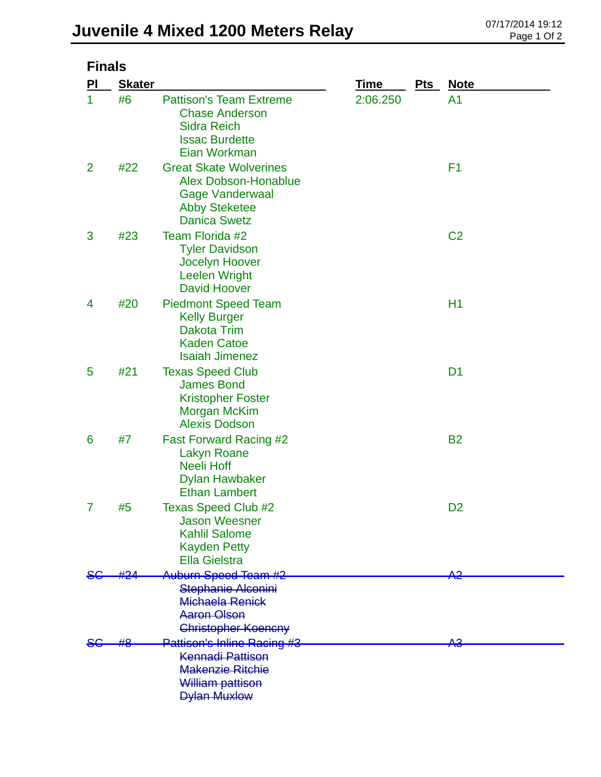| <b>Finals</b>  |               |                                                                                                                                |             |     |                |  |  |  |
|----------------|---------------|--------------------------------------------------------------------------------------------------------------------------------|-------------|-----|----------------|--|--|--|
| PI             | <b>Skater</b> |                                                                                                                                | <b>Time</b> | Pts | <b>Note</b>    |  |  |  |
| 1              | #6            | <b>Pattison's Team Extreme</b><br><b>Chase Anderson</b><br><b>Sidra Reich</b><br><b>Issac Burdette</b><br>Eian Workman         | 2:06.250    |     | A <sub>1</sub> |  |  |  |
| $\overline{2}$ | #22           | <b>Great Skate Wolverines</b><br><b>Alex Dobson-Honablue</b><br>Gage Vanderwaal<br><b>Abby Steketee</b><br><b>Danica Swetz</b> |             |     | F1             |  |  |  |
| 3              | #23           | Team Florida #2<br><b>Tyler Davidson</b><br>Jocelyn Hoover<br><b>Leelen Wright</b><br><b>David Hoover</b>                      |             |     | C <sub>2</sub> |  |  |  |
| 4              | #20           | <b>Piedmont Speed Team</b><br><b>Kelly Burger</b><br><b>Dakota Trim</b><br><b>Kaden Catoe</b><br><b>Isaiah Jimenez</b>         |             |     | H1             |  |  |  |
| 5              | #21           | <b>Texas Speed Club</b><br><b>James Bond</b><br><b>Kristopher Foster</b><br><b>Morgan McKim</b><br><b>Alexis Dodson</b>        |             |     | D <sub>1</sub> |  |  |  |
| 6              | #7            | <b>Fast Forward Racing #2</b><br><b>Lakyn Roane</b><br><b>Neeli Hoff</b><br><b>Dylan Hawbaker</b><br><b>Ethan Lambert</b>      |             |     | <b>B2</b>      |  |  |  |
| 7              | #5            | <b>Texas Speed Club #2</b><br><b>Jason Weesner</b><br><b>Kahlil Salome</b><br><b>Kayden Petty</b><br>Ella Gielstra             |             |     | D <sub>2</sub> |  |  |  |
|                |               | Auburn Speed Team #2                                                                                                           |             |     | 42             |  |  |  |
|                |               | Stephanie Alconini<br>Michaela Renick<br><b>Aaron Olson</b><br><b>Christopher Koencny</b>                                      |             |     |                |  |  |  |
|                |               | <b>Pattison's Inline Racing #3</b>                                                                                             |             |     | AЗ             |  |  |  |
|                |               | <b>Kennadi Pattison</b><br><b>Makenzie Ritchie</b><br>William pattison<br><b>Dylan Muxlow</b>                                  |             |     |                |  |  |  |